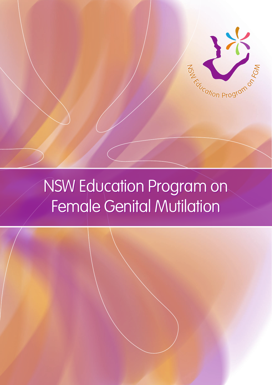

# NSW Education Program on NSW Education Program on Female Genital Mutilation Female Genital Mutilation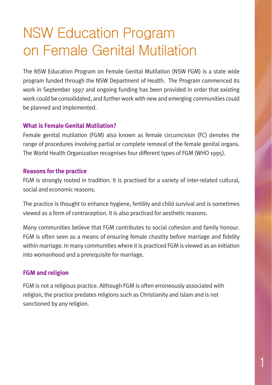# NSW Education Program on Female Genital Mutilation

The NSW Education Program on Female Genital Mutilation (NSW FGM) is a state wide program funded through the NSW Department of Health. The Program commenced its work in September 1997 and ongoing funding has been provided in order that existing work could be consolidated, and further work with new and emerging communities could be planned and implemented.

#### **What is Female Genital Mutilation?**

Female genital mutilation (FGM) also known as female circumcision (FC) denotes the range of procedures involving partial or complete removal of the female genital organs. The World Health Organization recognises four different types of FGM (WHO 1995).

#### **Reasons for the practice**

FGM is strongly rooted in tradition. It is practised for a variety of inter-related cultural, social and economic reasons.

The practice is thought to enhance hygiene, fertility and child survival and is sometimes viewed as a form of contraception. It is also practiced for aesthetic reasons.

Many communities believe that FGM contributes to social cohesion and family honour. FGM is often seen as a means of ensuring female chastity before marriage and fidelity within marriage. In many communities where it is practiced FGM is viewed as an initiation into womanhood and a prerequisite for marriage.

#### **FGM and religion**

FGM is not a religious practice. Although FGM is often erroneously associated with religion, the practice predates religions such as Christianity and Islam and is not sanctioned by any religion.

1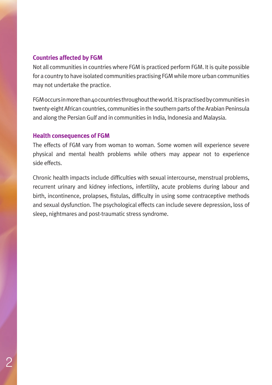#### **Countries affected by FGM**

Not all communities in countries where FGM is practiced perform FGM. It is quite possible for a country to have isolated communities practising FGM while more urban communities may not undertake the practice.

FGM occurs in more than 40 countries throughout the world. It is practised by communities in twenty-eight African countries, communities in the southern parts of the Arabian Peninsula and along the Persian Gulf and in communities in India, Indonesia and Malaysia.

#### **Health consequences of FGM**

The effects of FGM vary from woman to woman. Some women will experience severe physical and mental health problems while others may appear not to experience side effects.

Chronic health impacts include difficulties with sexual intercourse, menstrual problems, recurrent urinary and kidney infections, infertility, acute problems during labour and birth, incontinence, prolapses, fistulas, difficulty in using some contraceptive methods and sexual dysfunction. The psychological effects can include severe depression, loss of sleep, nightmares and post-traumatic stress syndrome.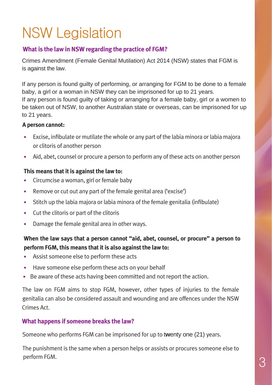# NSW Legislation

### **What is the law in NSW regarding the practice of FGM?**

Crimes Amendment (Female Genital Mutilation) Act 2014 (NSW) states that FGM is is against the law.

If any person is found guilty of performing, or arranging for FGM to be done to a female baby, a girl or a woman in NSW they can be imprisoned for up to 21 years. If any person is found guilty of taking or arranging for a female baby, girl or a women to be taken out of NSW, to another Australian state or overseas, can be imprisoned for up to 21 years.

#### **A person cannot:**

- Excise, infibulate or mutilate the whole or any part of the labia minora or labia majora or clitoris of another person
- Aid, abet, counsel or procure a person to perform any of these acts on another person

#### **This means that it is against the law to:**

- Circumcise a woman, girl or female baby
- Remove or cut out any part of the female genital area ('excise')
- Stitch up the labia majora or labia minora of the female genitalia (infibulate)
- Cut the clitoris or part of the clitoris
- Damage the female genital area in other ways.

### **When the law says that a person cannot "aid, abet, counsel, or procure" a person to perform FGM, this means that it is also against the law to:**

- Assist someone else to perform these acts
- Have someone else perform these acts on your behalf
- Be aware of these acts having been committed and not report the action.

The law on FGM aims to stop FGM, however, other types of injuries to the female genitalia can also be considered assault and wounding and are offences under the NSW Crimes Act.

#### **What happens if someone breaks the law?**

Someone who performs FGM can be imprisoned for up to t**w**enty one (21) years.

The punishment is the same when a person helps or assists or procures someone else to perform FGM.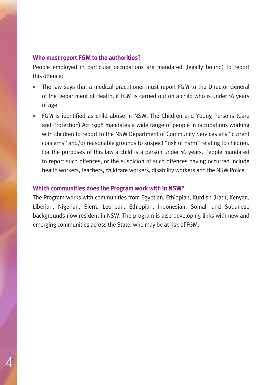#### **Who must report FGM to the authorities?**

People employed in particular occupations are mandated (legally bound) to report this offence:

- The law says that a medical practitioner must report FGM to the Director General of the Department of Health, if FGM is carried out on a child who is under 16 years of age.
- FGM is identified as child abuse in NSW. The Children and Young Persons (Care and Protection) Act 1998 mandates a wide range of people in occupations working with children to report to the NSW Department of Community Services any "current concerns" and/or reasonable grounds to suspect "risk of harm" relating to children. For the purposes of this law a child is a person under 16 years. People mandated to report such offences, or the suspicion of such offences having occurred include health workers, teachers, childcare workers, disability workers and the NSW Police.

#### **Which communities does the Program work with in NSW?**

The Program works with communities from Egyptian, Ethiopian, Kurdish (Iraq), Kenyan, Liberian, Nigerian, Sierra Leonean, Ethiopian, Indonesian, Somali and Sudanese backgrounds now resident in NSW. The program is also developing links with new and emerging communities across the State, who may be at risk of FGM.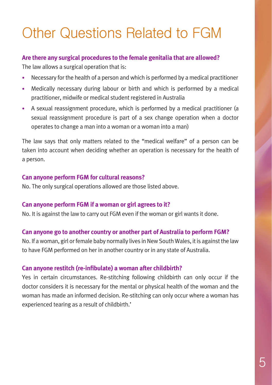# Other Questions Related to FGM

#### **Are there any surgical procedures to the female genitalia that are allowed?**

The law allows a surgical operation that is:

- Necessary for the health of a person and which is performed by a medical practitioner
- Medically necessary during labour or birth and which is performed by a medical practitioner, midwife or medical student registered in Australia
- A sexual reassignment procedure, which is performed by a medical practitioner (a sexual reassignment procedure is part of a sex change operation when a doctor operates to change a man into a woman or a woman into a man)

The law says that only matters related to the "medical welfare" of a person can be taken into account when deciding whether an operation is necessary for the health of a person.

#### **Can anyone perform FGM for cultural reasons?**

No. The only surgical operations allowed are those listed above.

#### **Can anyone perform FGM if a woman or girl agrees to it?**

No. It is against the law to carry out FGM even if the woman or girl wants it done.

### **Can anyone go to another country or another part of Australia to perform FGM?**

No. If a woman, girl or female baby normally lives in New South Wales, it is against the law to have FGM performed on her in another country or in any state of Australia.

### **Can anyone restitch (re-infibulate) a woman after childbirth?**

Yes in certain circumstances. Re-stitching following childbirth can only occur if the doctor considers it is necessary for the mental or physical health of the woman and the woman has made an informed decision. Re-stitching can only occur where a woman has experienced tearing as a result of childbirth.'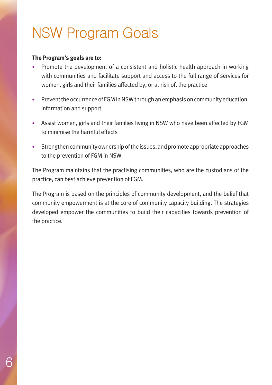# NSW Program Goals

#### **The Program's goals are to:**

- Promote the development of a consistent and holistic health approach in working with communities and facilitate support and access to the full range of services for women, girls and their families affected by, or at risk of, the practice
- Prevent the occurrence of FGM in NSW through an emphasis on community education, information and support
- Assist women, girls and their families living in NSW who have been affected by FGM to minimise the harmful effects
- Strengthen community ownership of the issues, and promote appropriate approaches to the prevention of FGM in NSW

The Program maintains that the practising communities, who are the custodians of the practice, can best achieve prevention of FGM.

The Program is based on the principles of community development, and the belief that community empowerment is at the core of community capacity building. The strategies developed empower the communities to build their capacities towards prevention of the practice.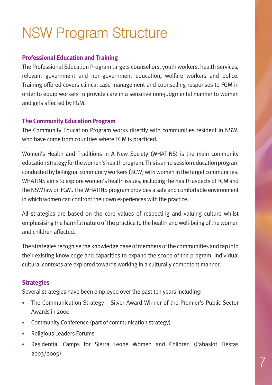# NSW Program Structure

#### **Professional Education and Training**

The Professional Education Program targets counsellors, youth workers, health services, relevant government and non-government education, welfare workers and police. Training offered covers clinical case management and counselling responses to FGM in order to equip workers to provide care in a sensitive non-judgmental manner to women and girls affected by FGM.

#### **The Community Education Program**

The Community Education Program works directly with communities resident in NSW, who have come from countries where FGM is practiced.

Women's Health and Traditions in A New Society (WHATINS) is the main community education strategy for the women's health program. This is an 11-session education program conducted by bi-lingual community workers (BCW) with women in the target communities. WHATINS aims to explore women's health issues, including the health aspects of FGM and the NSW law on FGM. The WHATINS program provides a safe and comfortable environment in which women can confront their own experiences with the practice.

All strategies are based on the core values of respecting and valuing culture whilst emphasising the harmful nature of the practice to the health and well-being of the women and children affected.

The strategies recognise the knowledge base of members of the communities and tap into their existing knowledge and capacities to expand the scope of the program. Individual cultural contexts are explored towards working in a culturally competent manner.

#### **Strategies**

Several strategies have been employed over the past ten years including:

- The Communication Strategy Silver Award Winner of the Premier's Public Sector Awards in 2000
- Community Conference (part of communication strategy)
- Religious Leaders Forums
- Residential Camps for Sierra Leone Women and Children (Cabaslot Fiestas 2003/2005)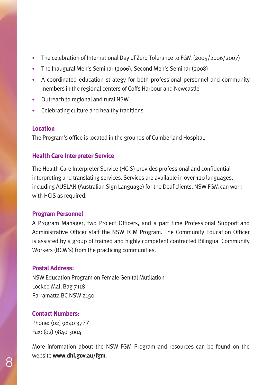- The celebration of International Day of Zero Tolerance to FGM (2005/2006/2007)
- The Inaugural Men's Seminar (2006), Second Men's Seminar (2008)
- A coordinated education strategy for both professional personnel and community members in the regional centers of Coffs Harbour and Newcastle
- Outreach to regional and rural NSW
- Celebrating culture and healthy traditions

### **Location**

The Program's office is located in the grounds of Cumberland Hospital.

### **Health Care Interpreter Service**

The Health Care Interpreter Service (HCIS) provides professional and confidential interpreting and translating services. Services are available in over 120 languages, including AUSLAN (Australian Sign Language) for the Deaf clients. NSW FGM can work with HCIS as required.

### **Program Personnel**

A Program Manager, two Project Officers, and a part time Professional Support and Administrative Officer staff the NSW FGM Program. The Community Education Officer is assisted by a group of trained and highly competent contracted Bilingual Community Workers (BCW's) from the practicing communities.

### **Postal Address:**

NSW Education Program on Female Genital Mutilation Locked Mail Bag 7118 Parramatta BC NSW 2150

## **Contact Numbers:**

Phone: (02) 9840 3777 Fax: (02) 9840 3004

More information about the NSW FGM Program and resources can be found on the website **www.dhi.gov.au/fgm**.